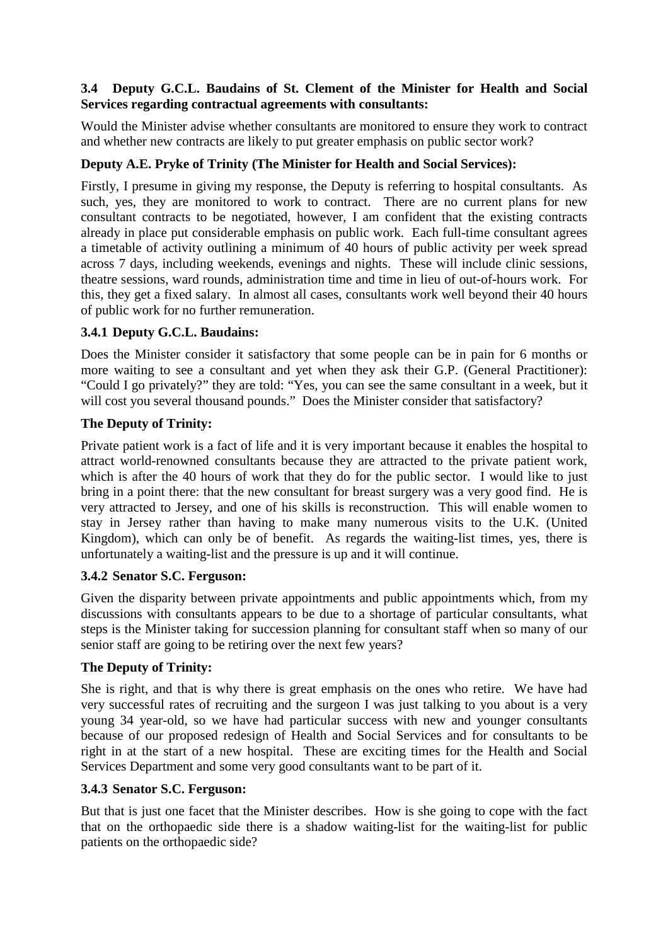### **3.4 Deputy G.C.L. Baudains of St. Clement of the Minister for Health and Social Services regarding contractual agreements with consultants:**

Would the Minister advise whether consultants are monitored to ensure they work to contract and whether new contracts are likely to put greater emphasis on public sector work?

# **Deputy A.E. Pryke of Trinity (The Minister for Health and Social Services):**

Firstly, I presume in giving my response, the Deputy is referring to hospital consultants. As such, yes, they are monitored to work to contract. There are no current plans for new consultant contracts to be negotiated, however, I am confident that the existing contracts already in place put considerable emphasis on public work. Each full-time consultant agrees a timetable of activity outlining a minimum of 40 hours of public activity per week spread across 7 days, including weekends, evenings and nights. These will include clinic sessions, theatre sessions, ward rounds, administration time and time in lieu of out-of-hours work. For this, they get a fixed salary. In almost all cases, consultants work well beyond their 40 hours of public work for no further remuneration.

### **3.4.1 Deputy G.C.L. Baudains:**

Does the Minister consider it satisfactory that some people can be in pain for 6 months or more waiting to see a consultant and yet when they ask their G.P. (General Practitioner): "Could I go privately?" they are told: "Yes, you can see the same consultant in a week, but it will cost you several thousand pounds." Does the Minister consider that satisfactory?

### **The Deputy of Trinity:**

Private patient work is a fact of life and it is very important because it enables the hospital to attract world-renowned consultants because they are attracted to the private patient work, which is after the 40 hours of work that they do for the public sector. I would like to just bring in a point there: that the new consultant for breast surgery was a very good find. He is very attracted to Jersey, and one of his skills is reconstruction. This will enable women to stay in Jersey rather than having to make many numerous visits to the U.K. (United Kingdom), which can only be of benefit. As regards the waiting-list times, yes, there is unfortunately a waiting-list and the pressure is up and it will continue.

### **3.4.2 Senator S.C. Ferguson:**

Given the disparity between private appointments and public appointments which, from my discussions with consultants appears to be due to a shortage of particular consultants, what steps is the Minister taking for succession planning for consultant staff when so many of our senior staff are going to be retiring over the next few years?

### **The Deputy of Trinity:**

She is right, and that is why there is great emphasis on the ones who retire. We have had very successful rates of recruiting and the surgeon I was just talking to you about is a very young 34 year-old, so we have had particular success with new and younger consultants because of our proposed redesign of Health and Social Services and for consultants to be right in at the start of a new hospital. These are exciting times for the Health and Social Services Department and some very good consultants want to be part of it.

#### **3.4.3 Senator S.C. Ferguson:**

But that is just one facet that the Minister describes. How is she going to cope with the fact that on the orthopaedic side there is a shadow waiting-list for the waiting-list for public patients on the orthopaedic side?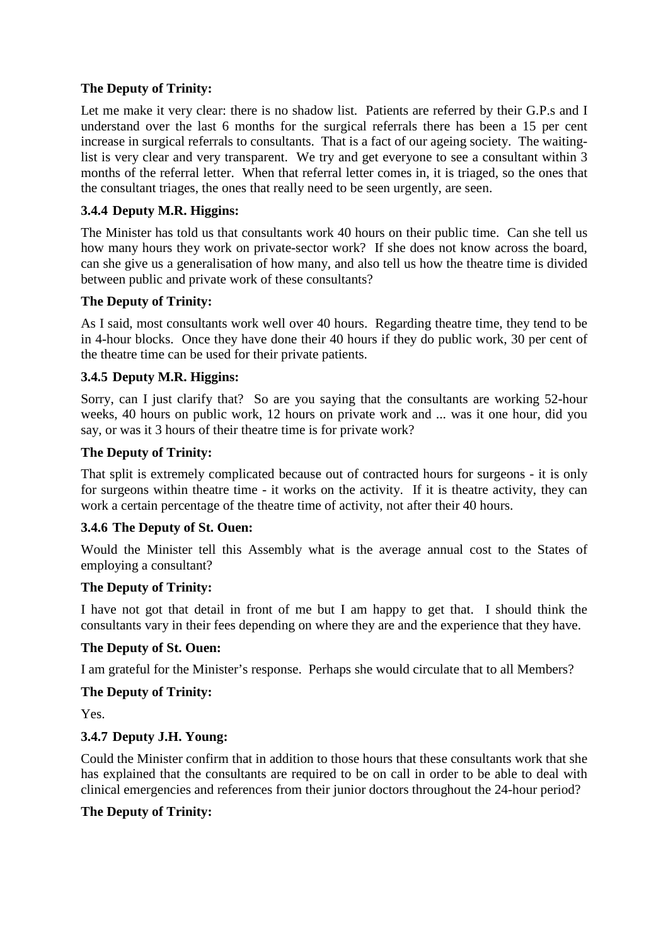### **The Deputy of Trinity:**

Let me make it very clear: there is no shadow list. Patients are referred by their G.P.s and I understand over the last 6 months for the surgical referrals there has been a 15 per cent increase in surgical referrals to consultants. That is a fact of our ageing society. The waitinglist is very clear and very transparent. We try and get everyone to see a consultant within 3 months of the referral letter. When that referral letter comes in, it is triaged, so the ones that the consultant triages, the ones that really need to be seen urgently, are seen.

## **3.4.4 Deputy M.R. Higgins:**

The Minister has told us that consultants work 40 hours on their public time. Can she tell us how many hours they work on private-sector work? If she does not know across the board, can she give us a generalisation of how many, and also tell us how the theatre time is divided between public and private work of these consultants?

### **The Deputy of Trinity:**

As I said, most consultants work well over 40 hours. Regarding theatre time, they tend to be in 4-hour blocks. Once they have done their 40 hours if they do public work, 30 per cent of the theatre time can be used for their private patients.

## **3.4.5 Deputy M.R. Higgins:**

Sorry, can I just clarify that? So are you saying that the consultants are working 52-hour weeks, 40 hours on public work, 12 hours on private work and ... was it one hour, did you say, or was it 3 hours of their theatre time is for private work?

### **The Deputy of Trinity:**

That split is extremely complicated because out of contracted hours for surgeons - it is only for surgeons within theatre time - it works on the activity. If it is theatre activity, they can work a certain percentage of the theatre time of activity, not after their 40 hours.

### **3.4.6 The Deputy of St. Ouen:**

Would the Minister tell this Assembly what is the average annual cost to the States of employing a consultant?

### **The Deputy of Trinity:**

I have not got that detail in front of me but I am happy to get that. I should think the consultants vary in their fees depending on where they are and the experience that they have.

### **The Deputy of St. Ouen:**

I am grateful for the Minister's response. Perhaps she would circulate that to all Members?

### **The Deputy of Trinity:**

Yes.

### **3.4.7 Deputy J.H. Young:**

Could the Minister confirm that in addition to those hours that these consultants work that she has explained that the consultants are required to be on call in order to be able to deal with clinical emergencies and references from their junior doctors throughout the 24-hour period?

#### **The Deputy of Trinity:**